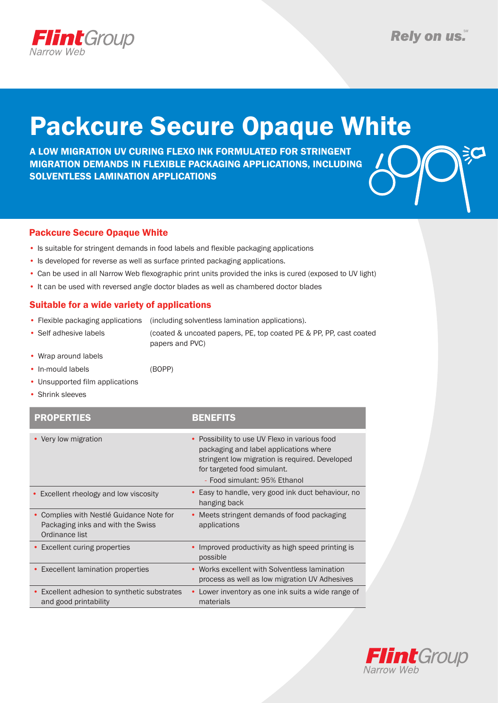

沪

# Packcure Secure Opaque White

A LOW MIGRATION UV CURING FLEXO INK FORMULATED FOR STRINGENT MIGRATION DEMANDS IN FLEXIBLE PACKAGING APPLICATIONS, INCLUDING SOLVENTLESS LAMINATION APPLICATIONS



- Is suitable for stringent demands in food labels and flexible packaging applications
- Is developed for reverse as well as surface printed packaging applications.
- Can be used in all Narrow Web flexographic print units provided the inks is cured (exposed to UV light)
- It can be used with reversed angle doctor blades as well as chambered doctor blades

#### Suitable for a wide variety of applications

- Flexible packaging applications (including solventless lamination applications).
- Self adhesive labels (coated & uncoated papers, PE, top coated PE & PP, PP, cast coated papers and PVC)
- Wrap around labels
- In-mould labels (BOPP)
- Unsupported film applications
- Shrink sleeves

| <b>PROPERTIES</b>                                                                             | BENEFITS                                                                                                                                                                                                 |
|-----------------------------------------------------------------------------------------------|----------------------------------------------------------------------------------------------------------------------------------------------------------------------------------------------------------|
| • Very low migration                                                                          | • Possibility to use UV Flexo in various food<br>packaging and label applications where<br>stringent low migration is required. Developed<br>for targeted food simulant.<br>- Food simulant: 95% Ethanol |
| • Excellent rheology and low viscosity                                                        | • Easy to handle, very good ink duct behaviour, no<br>hanging back                                                                                                                                       |
| Complies with Nestlé Guidance Note for<br>Packaging inks and with the Swiss<br>Ordinance list | • Meets stringent demands of food packaging<br>applications                                                                                                                                              |
| • Excellent curing properties                                                                 | • Improved productivity as high speed printing is<br>possible                                                                                                                                            |
| • Execellent lamination properties                                                            | • Works excellent with Solventless lamination<br>process as well as low migration UV Adhesives                                                                                                           |
| • Excellent adhesion to synthetic substrates<br>and good printability                         | • Lower inventory as one ink suits a wide range of<br>materials                                                                                                                                          |